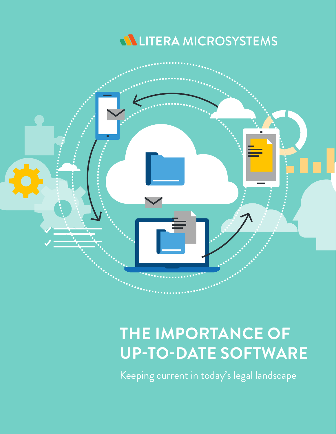



# **THE IMPORTANCE OF UP-TO-DATE SOFTWARE**

Keeping current in today's legal landscape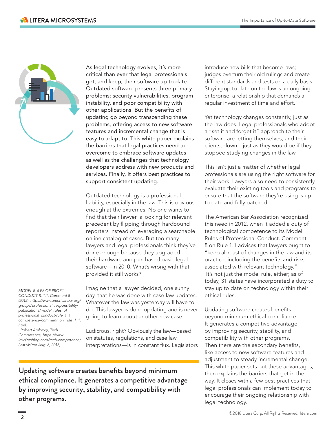

*MODEL RULES OF PROF'L CONDUCT R. 1.1, Comment 8 (2012), https://www.americanbar.org/ groups/professional\_responsibility/*

*publications/model\_rules\_of\_ professional\_conduct/rule\_1\_1\_ competence/comment\_on\_rule\_1\_1. html.*

 *Robert Ambrogi, Tech Competence, https://www. lawsitesblog.com/tech-competence/ (last visited Aug. 6, 2018).*

As legal technology evolves, it's more critical than ever that legal professionals get, and keep, their software up to date. Outdated software presents three primary problems: security vulnerabilities, program instability, and poor compatibility with other applications. But the benefits of updating go beyond transcending these problems, offering access to new software features and incremental change that is easy to adapt to. This white paper explains the barriers that legal practices need to overcome to embrace software updates as well as the challenges that technology developers address with new products and services. Finally, it offers best practices to support consistent updating.

Outdated technology is a professional liability, especially in the law. This is obvious enough at the extremes. No one wants to find that their lawyer is looking for relevant precedent by flipping through hardbound reporters instead of leveraging a searchable online catalog of cases. But too many lawyers and legal professionals think they've done enough because they upgraded their hardware and purchased basic legal software—in 2010. What's wrong with that, provided it still works?

Imagine that a lawyer decided, one sunny day, that he was done with case law updates. Whatever the law was yesterday will have to do. This lawyer is done updating and is never going to learn about another new case.

Ludicrous, right? Obviously the law—based on statutes, regulations, and case law interpretations—is in constant flux. Legislators

Updating software creates benefits beyond minimum ethical compliance. It generates a competitive advantage by improving security, stability, and compatibility with other programs.

introduce new bills that become laws; judges overturn their old rulings and create different standards and tests on a daily basis. Staying up to date on the law is an ongoing enterprise, a relationship that demands a regular investment of time and effort.

Yet technology changes constantly, just as the law does. Legal professionals who adopt a "set it and forget it" approach to their software are letting themselves, and their clients, down—just as they would be if they stopped studying changes in the law.

This isn't just a matter of whether legal professionals are using the right software for their work. Lawyers also need to consistently evaluate their existing tools and programs to ensure that the software they're using is up to date and fully patched.

The American Bar Association recognized this need in 2012, when it added a duty of technological competence to its Model Rules of Professional Conduct. Comment 8 on Rule 1.1 advises that lawyers ought to "keep abreast of changes in the law and its practice, including the benefits and risks associated with relevant technology." It's not just the model rule, either; as of today, 31 states have incorporated a duty to stay up to date on technology within their ethical rules.

Updating software creates benefits beyond minimum ethical compliance. It generates a competitive advantage by improving security, stability, and compatibility with other programs. Then there are the secondary benefits, like access to new software features and adjustment to steady incremental change. This white paper sets out these advantages, then explains the barriers that get in the way. It closes with a few best practices that legal professionals can implement today to encourage their ongoing relationship with legal technology.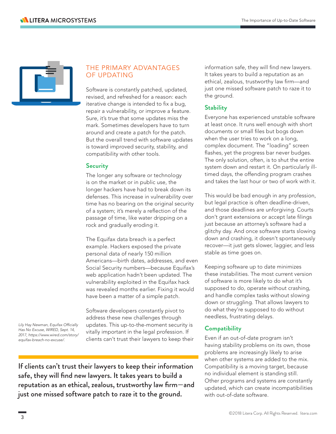

# THE PRIMARY ADVANTAGES OF UPDATING

Software is constantly patched, updated, revised, and refreshed for a reason: each iterative change is intended to fix a bug, repair a vulnerability, or improve a feature. Sure, it's true that some updates miss the mark. Sometimes developers have to turn around and create a patch for the patch. But the overall trend with software updates is toward improved security, stability, and compatibility with other tools.

#### **Security**

The longer any software or technology is on the market or in public use, the longer hackers have had to break down its defenses. This increase in vulnerability over time has no bearing on the original security of a system; it's merely a reflection of the passage of time, like water dripping on a rock and gradually eroding it.

The Equifax data breach is a perfect example. Hackers exposed the private personal data of nearly 150 million Americans—birth dates, addresses, and even Social Security numbers—because Equifax's web application hadn't been updated. The vulnerability exploited in the Equifax hack was revealed months earlier. Fixing it would have been a matter of a simple patch.

Lily Hay Newman, Equifax Officially *Has No Excuse, WIRED, Sept. 14, 2017, https://www.wired.com/story/ equifax-breach-no-excuse/.*

Software developers constantly pivot to address these new challenges through updates. This up-to-the-moment security is vitally important in the legal profession. If clients can't trust their lawyers to keep their

If clients can't trust their lawyers to keep their information safe, they will find new lawyers. It takes years to build a reputation as an ethical, zealous, trustworthy law firm—and just one missed software patch to raze it to the ground.

information safe, they will find new lawyers. It takes years to build a reputation as an ethical, zealous, trustworthy law firm—and just one missed software patch to raze it to the ground.

# **Stability**

Everyone has experienced unstable software at least once. It runs well enough with short documents or small files but bogs down when the user tries to work on a long, complex document. The "loading" screen flashes, yet the progress bar never budges. The only solution, often, is to shut the entire system down and restart it. On particularly illtimed days, the offending program crashes and takes the last hour or two of work with it.

This would be bad enough in any profession, but legal practice is often deadline-driven, and those deadlines are unforgiving. Courts don't grant extensions or accept late filings just because an attorney's software had a glitchy day. And once software starts slowing down and crashing, it doesn't spontaneously recover—it just gets slower, laggier, and less stable as time goes on.

Keeping software up to date minimizes these instabilities. The most current version of software is more likely to do what it's supposed to do, operate without crashing, and handle complex tasks without slowing down or struggling. That allows lawyers to do what they're supposed to do without needless, frustrating delays.

# **Compatibility**

Even if an out-of-date program isn't having stability problems on its own, those problems are increasingly likely to arise when other systems are added to the mix. Compatibility is a moving target, because no individual element is standing still. Other programs and systems are constantly updated, which can create incompatibilities with out-of-date software.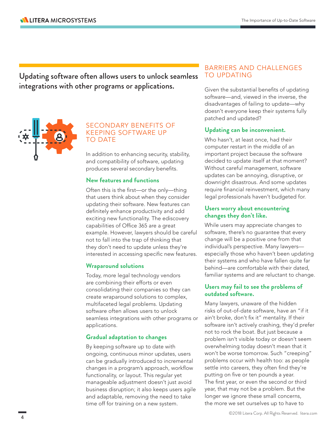Updating software often allows users to unlock seamless integrations with other programs or applications.



## SECONDARY BENEFITS OF KEEPING SOFTWARE UP TO DATE

In addition to enhancing security, stability, and compatibility of software, updating produces several secondary benefits.

#### **New features and functions**

Often this is the first—or the only—thing that users think about when they consider updating their software. New features can definitely enhance productivity and add exciting new functionality. The ediscovery capabilities of Office 365 are a great example. However, lawyers should be careful not to fall into the trap of thinking that they don't need to update unless they're interested in accessing specific new features.

# **Wraparound solutions**

Today, more legal technology vendors are combining their efforts or even consolidating their companies so they can create wraparound solutions to complex, multifaceted legal problems. Updating software often allows users to unlock seamless integrations with other programs or applications.

# **Gradual adaptation to changes**

By keeping software up to date with ongoing, continuous minor updates, users can be gradually introduced to incremental changes in a program's approach, workflow functionality, or layout. This regular yet manageable adjustment doesn't just avoid business disruption; it also keeps users agile and adaptable, removing the need to take time off for training on a new system.

# BARRIERS AND CHALLENGES TO UPDATING

Given the substantial benefits of updating software—and, viewed in the inverse, the disadvantages of failing to update—why doesn't everyone keep their systems fully patched and updated?

# **Updating can be inconvenient.**

Who hasn't, at least once, had their computer restart in the middle of an important project because the software decided to update itself at that moment? Without careful management, software updates can be annoying, disruptive, or downright disastrous. And some updates require financial reinvestment, which many legal professionals haven't budgeted for.

### **Users worry about encountering changes they don't like.**

While users may appreciate changes to software, there's no guarantee that every change will be a positive one from that individual's perspective. Many lawyers especially those who haven't been updating their systems and who have fallen quite far behind—are comfortable with their dated, familiar systems and are reluctant to change.

#### **Users may fail to see the problems of outdated software.**

Many lawyers, unaware of the hidden risks of out-of-date software, have an "if it ain't broke, don't fix it" mentality. If their software isn't actively crashing, they'd prefer not to rock the boat. But just because a problem isn't visible today or doesn't seem overwhelming today doesn't mean that it won't be worse tomorrow. Such "creeping" problems occur with health too: as people settle into careers, they often find they're putting on five or ten pounds a year. The first year, or even the second or third year, that may not be a problem. But the longer we ignore these small concerns, the more we set ourselves up to have to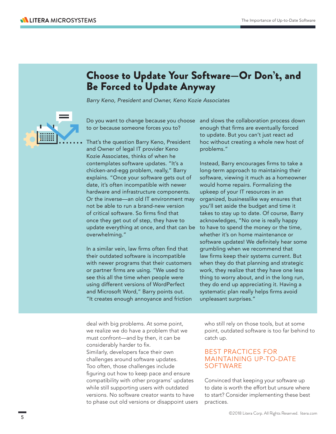# Choose to Update Your Software—Or Don't, and Be Forced to Update Anyway

*Barry Keno, President and Owner, Keno Kozie Associates*



Do you want to change because you choose to or because someone forces you to?

That's the question Barry Keno, President and Owner of legal IT provider Keno Kozie Associates, thinks of when he contemplates software updates. "It's a chicken-and-egg problem, really," Barry explains. "Once your software gets out of date, it's often incompatible with newer hardware and infrastructure components. Or the inverse—an old IT environment may not be able to run a brand-new version of critical software. So firms find that once they get out of step, they have to update everything at once, and that can be overwhelming."

In a similar vein, law firms often find that their outdated software is incompatible with newer programs that their customers or partner firms are using. "We used to see this all the time when people were using different versions of WordPerfect and Microsoft Word," Barry points out. "It creates enough annoyance and friction and slows the collaboration process down enough that firms are eventually forced to update. But you can't just react ad hoc without creating a whole new host of problems."

Instead, Barry encourages firms to take a long-term approach to maintaining their software, viewing it much as a homeowner would home repairs. Formalizing the upkeep of your IT resources in an organized, businesslike way ensures that you'll set aside the budget and time it takes to stay up to date. Of course, Barry acknowledges, "No one is really happy to have to spend the money or the time, whether it's on home maintenance or software updates! We definitely hear some grumbling when we recommend that law firms keep their systems current. But when they do that planning and strategic work, they realize that they have one less thing to worry about, and in the long run, they do end up appreciating it. Having a systematic plan really helps firms avoid unpleasant surprises."

deal with big problems. At some point, we realize we do have a problem that we must confront—and by then, it can be considerably harder to fix. Similarly, developers face their own challenges around software updates. Too often, those challenges include figuring out how to keep pace and ensure compatibility with other programs' updates while still supporting users with outdated versions. No software creator wants to have to phase out old versions or disappoint users who still rely on those tools, but at some point, outdated software is too far behind to catch up.

# BEST PRACTICES FOR MAINTAINING UP-TO-DATE SOFTWARE

Convinced that keeping your software up to date is worth the effort but unsure where to start? Consider implementing these best practices.